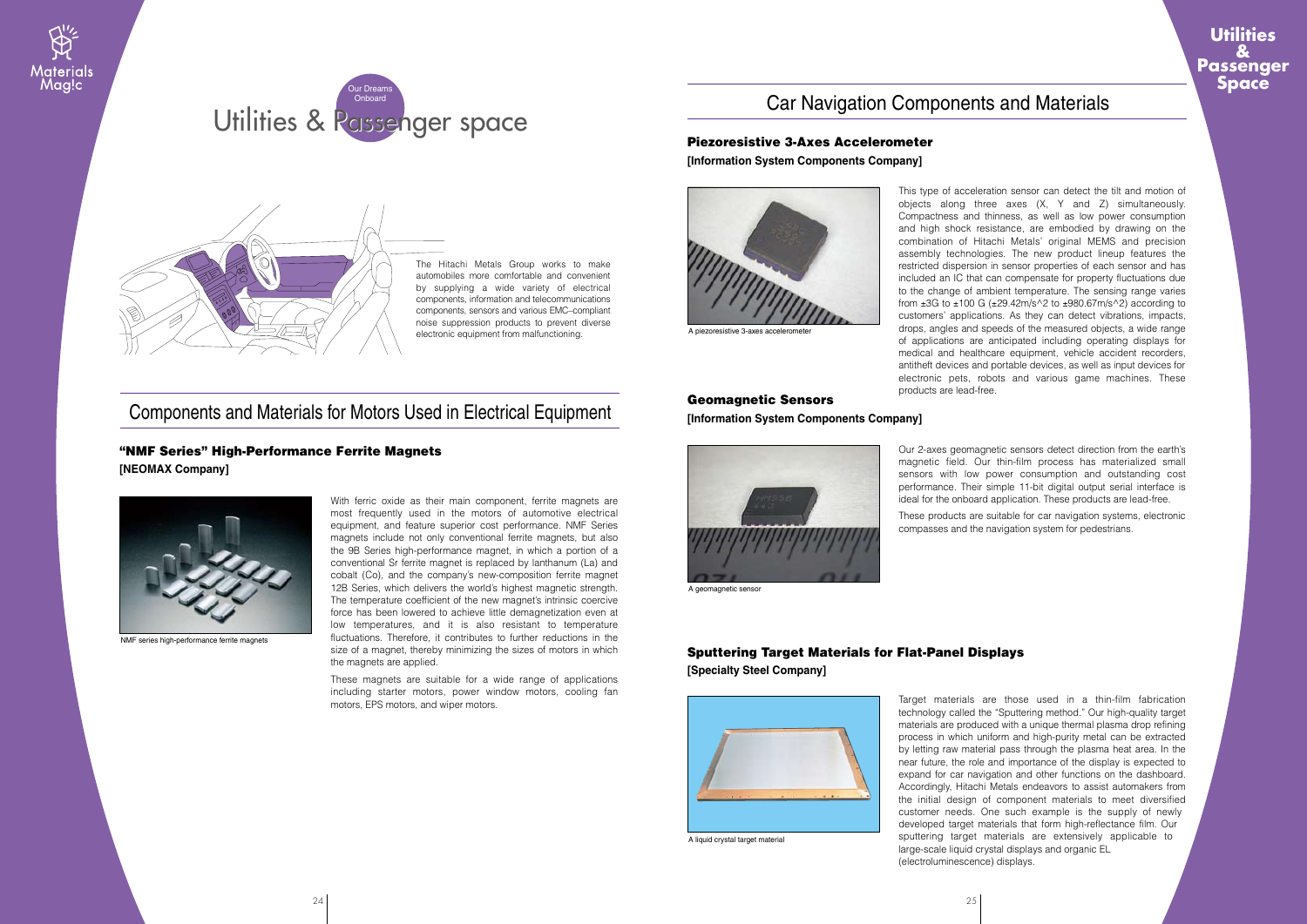The Hitachi Metals Group works to make automobiles more comfortable and convenient by supplying a wide variety of electrical components, information and telecommunications components, sensors and various EMC–compliant noise suppression products to prevent diverse electronic equipment from malfunctioning.

With ferric oxide as their main component, ferrite magnets are most frequently used in the motors of automotive electrical equipment, and feature superior cost performance. NMF Series magnets include not only conventional ferrite magnets, but also the 9B Series high-performance magnet, in which a portion of a conventional Sr ferrite magnet is replaced by lanthanum (La) and cobalt (Co), and the company's new-composition ferrite magnet 12B Series, which delivers the world's highest magnetic strength. The temperature coefficient of the new magnet's intrinsic coercive force has been lowered to achieve little demagnetization even at low temperatures, and it is also resistant to temperature fluctuations. Therefore, it contributes to further reductions in the size of a magnet, thereby minimizing the sizes of motors in which the magnets are applied.

These magnets are suitable for a wide range of applications including starter motors, power window motors, cooling fan motors, EPS motors, and wiper motors.

# "NMF Series" High-Performance Ferrite Magnets

**[NEOMAX Company]**



NMF series high-performance ferrite magnets

# Components and Materials for Motors Used in Electrical Equipment

This type of acceleration sensor can detect the tilt and motion of objects along three axes (X, Y and Z) simultaneously. Compactness and thinness, as well as low power consumption and high shock resistance, are embodied by drawing on the combination of Hitachi Metals' original MEMS and precision assembly technologies. The new product lineup features the restricted dispersion in sensor properties of each sensor and has included an IC that can compensate for property fluctuations due to the change of ambient temperature. The sensing range varies from ±3G to ±100 G (±29.42m/s^2 to ±980.67m/s^2) according to customers' applications. As they can detect vibrations, impacts, drops, angles and speeds of the measured objects, a wide range of applications are anticipated including operating displays for medical and healthcare equipment, vehicle accident recorders, antitheft devices and portable devices, as well as input devices for electronic pets, robots and various game machines. These products are lead-free.

## Piezoresistive 3-Axes Accelerometer **[Information System Components Company]**



A piezoresistive 3-axes accelerometer

Our 2-axes geomagnetic sensors detect direction from the earth's magnetic field. Our thin-film process has materialized small sensors with low power consumption and outstanding cost performance. Their simple 11-bit digital output serial interface is ideal for the onboard application. These products are lead-free.





These products are suitable for car navigation systems, electronic compasses and the navigation system for pedestrians.

## Geomagnetic Sensors **[Information System Components Company]**



A geomagnetic senso

Target materials are those used in a thin-film fabrication technology called the "Sputtering method." Our high-quality target materials are produced with a unique thermal plasma drop refining process in which uniform and high-purity metal can be extracted by letting raw material pass through the plasma heat area. In the near future, the role and importance of the display is expected to expand for car navigation and other functions on the dashboard. Accordingly, Hitachi Metals endeavors to assist automakers from the initial design of component materials to meet diversified customer needs. One such example is the supply of newly developed target materials that form high-reflectance film. Our sputtering target materials are extensively applicable to large-scale liquid crystal displays and organic EL (electroluminescence) displays.

## Sputtering Target Materials for Flat-Panel Displays **[Specialty Steel Company]**



A liquid crystal target material

**Utilities &**

**Passenger Space**

# Car Navigation Components and Materials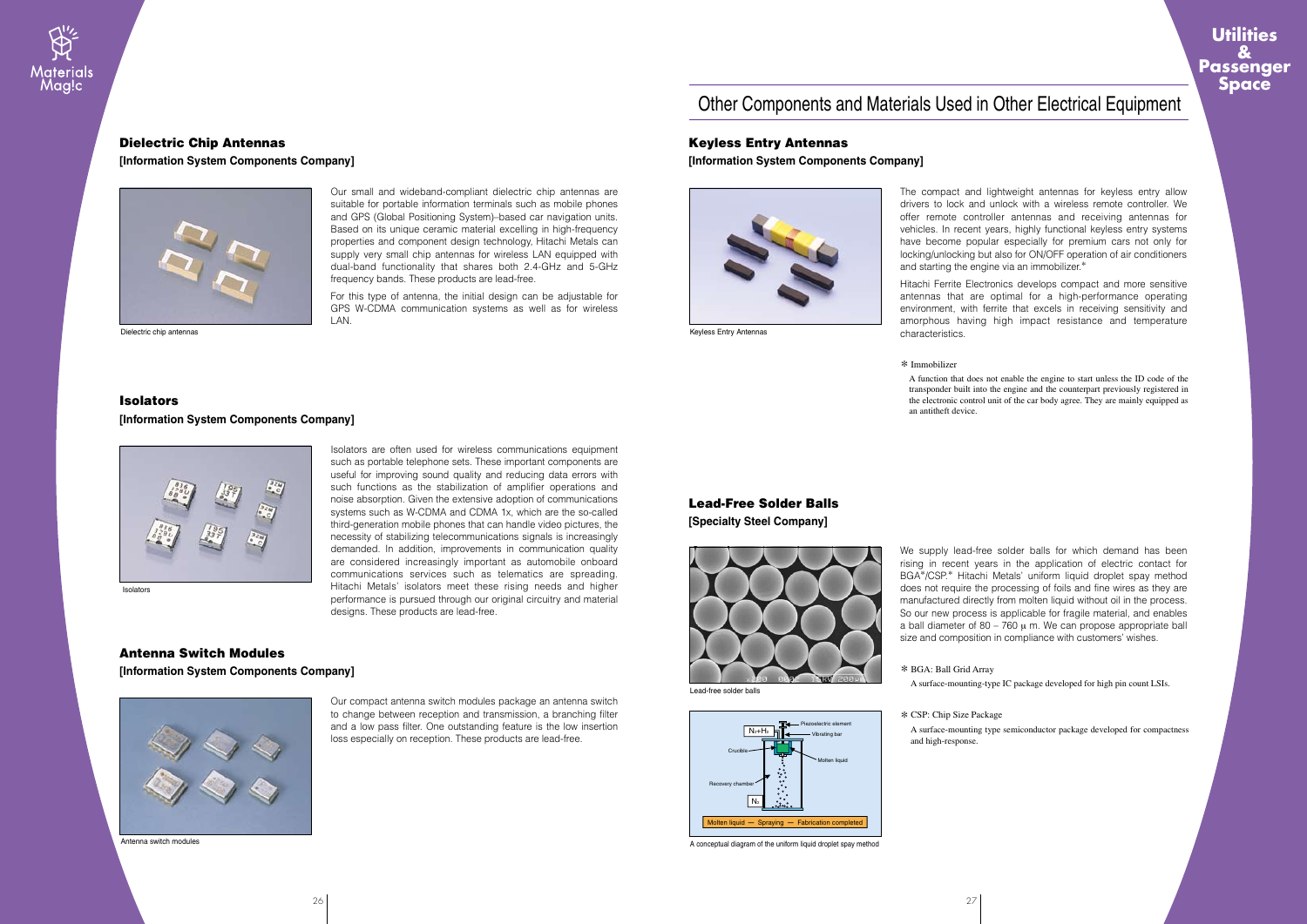Piezoelectric element Vibrating bar

Molten liquid

Crucible

Recovery chamber

 $N<sub>2</sub>$ 

The compact and lightweight antennas for keyless entry allow drivers to lock and unlock with a wireless remote controller. We offer remote controller antennas and receiving antennas for vehicles. In recent years, highly functional keyless entry systems have become popular especially for premium cars not only for locking/unlocking but also for ON/OFF operation of air conditioners and starting the engine via an immobilizer.\*

Hitachi Ferrite Electronics develops compact and more sensitive antennas that are optimal for a high-performance operating environment, with ferrite that excels in receiving sensitivity and amorphous having high impact resistance and temperature characteristics.

Molten liquid  $-$  Spraying  $-$  Fabrication completed A conceptual diagram of the uniform liquid droplet spay method

#### Keyless Entry Antennas

#### **[Information System Components Company]**



Keyless Entry Antennas

We supply lead-free solder balls for which demand has been rising in recent years in the application of electric contact for BGA\*/CSP.\* Hitachi Metals' uniform liquid droplet spay method does not require the processing of foils and fine wires as they are manufactured directly from molten liquid without oil in the process. So our new process is applicable for fragile material, and enables a ball diameter of  $80 - 760$   $\mu$  m. We can propose appropriate ball size and composition in compliance with customers' wishes.

## Lead-Free Solder Balls

**[Specialty Steel Company]**



 $N_{2}+H_{2}$ 

#### \* Immobilizer

A function that does not enable the engine to start unless the ID code of the transponder built into the engine and the counterpart previously registered in the electronic control unit of the car body agree. They are mainly equipped as

an antitheft device.

#### **Isolators**

\* BGA: Ball Grid Array A surface-mounting-type IC package developed for high pin count LSIs.

\* CSP: Chip Size Package and high-response.

A surface-mounting type semiconductor package developed for compactness



### Dielectric Chip Antennas

**[Information System Components Company]**



Dielectric chip antennas

Isolators

Isolators are often used for wireless communications equipment such as portable telephone sets. These important components are useful for improving sound quality and reducing data errors with such functions as the stabilization of amplifier operations and noise absorption. Given the extensive adoption of communications systems such as W-CDMA and CDMA 1x, which are the so-called third-generation mobile phones that can handle video pictures, the necessity of stabilizing telecommunications signals is increasingly demanded. In addition, improvements in communication quality are considered increasingly important as automobile onboard communications services such as telematics are spreading. Hitachi Metals' isolators meet these rising needs and higher performance is pursued through our original circuitry and material designs. These products are lead-free.

#### **[Information System Components Company]**



Our compact antenna switch modules package an antenna switch to change between reception and transmission, a branching filter and a low pass filter. One outstanding feature is the low insertion loss especially on reception. These products are lead-free.

#### Antenna Switch Modules

**[Information System Components Company]**



Antenna switch modules

Our small and wideband-compliant dielectric chip antennas are suitable for portable information terminals such as mobile phones and GPS (Global Positioning System)–based car navigation units. Based on its unique ceramic material excelling in high-frequency properties and component design technology, Hitachi Metals can supply very small chip antennas for wireless LAN equipped with dual-band functionality that shares both 2.4-GHz and 5-GHz frequency bands. These products are lead-free.

For this type of antenna, the initial design can be adjustable for GPS W-CDMA communication systems as well as for wireless LAN.



# Other Components and Materials Used in Other Electrical Equipment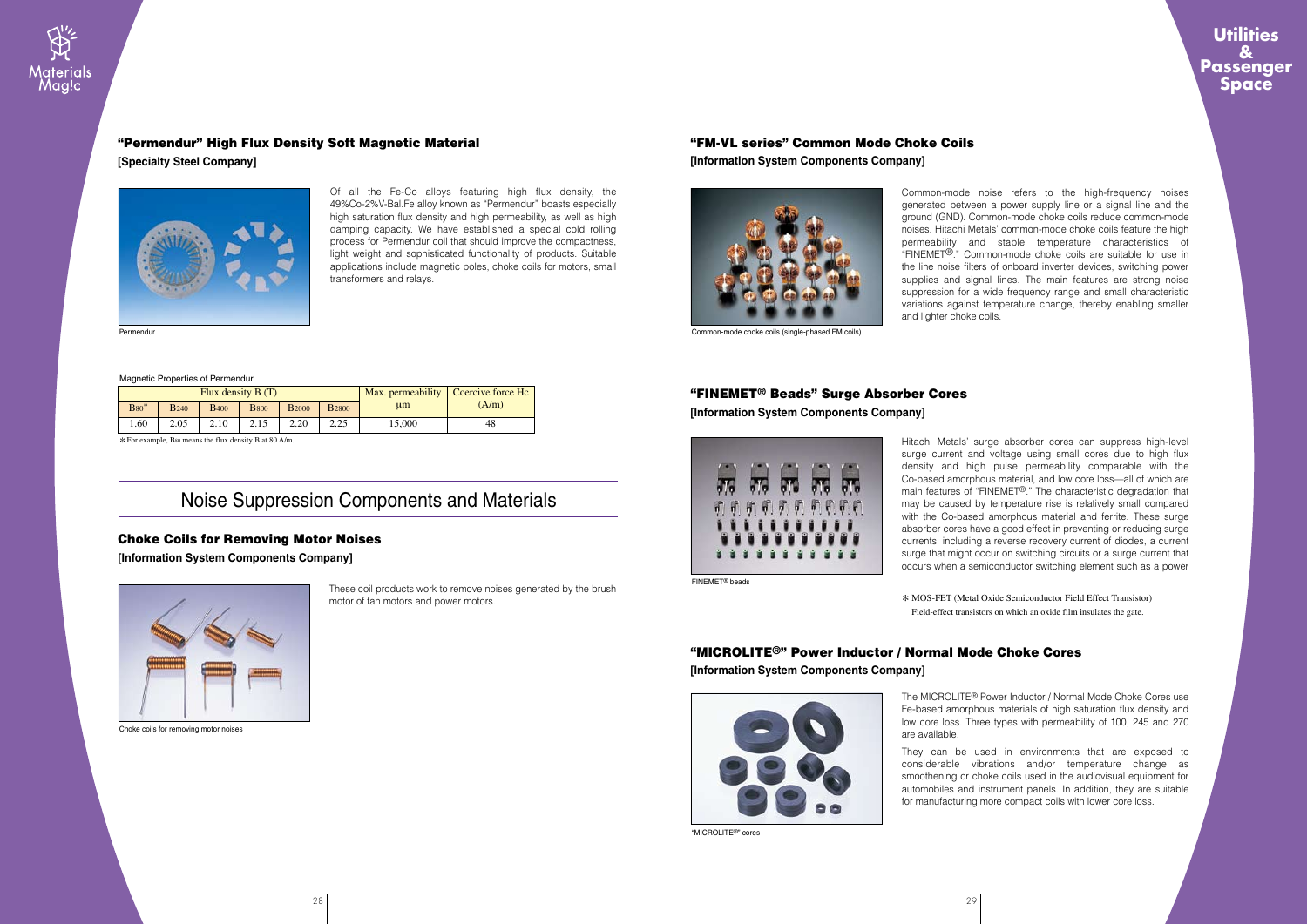These coil products work to remove noises generated by the brush motor of fan motors and power motors.

### Choke Coils for Removing Motor Noises

**[Information System Components Company]**



Choke coils for removing motor noises

Common-mode noise refers to the high-frequency noises generated between a power supply line or a signal line and the ground (GND). Common-mode choke coils reduce common-mode noises. Hitachi Metals' common-mode choke coils feature the high permeability and stable temperature characteristics of "FINEMET®." Common-mode choke coils are suitable for use in the line noise filters of onboard inverter devices, switching power supplies and signal lines. The main features are strong noise suppression for a wide frequency range and small characteristic variations against temperature change, thereby enabling smaller and lighter choke coils.

# "FM-VL series" Common Mode Choke Coils

**[Information System Components Company]**



Common-mode choke coils (single-phased FM coils)

Hitachi Metals' surge absorber cores can suppress high-level surge current and voltage using small cores due to high flux density and high pulse permeability comparable with the Co-based amorphous material, and low core loss—all of which are main features of "FINEMET®." The characteristic degradation that may be caused by temperature rise is relatively small compared with the Co-based amorphous material and ferrite. These surge absorber cores have a good effect in preventing or reducing surge currents, including a reverse recovery current of diodes, a current surge that might occur on switching circuits or a surge current that occurs when a semiconductor switching element such as a power

### "FINEMET® Beads" Surge Absorber Cores

**[Information System Components Company]**



FINEMET® beads

\* MOS-FET (Metal Oxide Semiconductor Field Effect Transistor) Field-effect transistors on which an oxide film insulates the gate.



Of all the Fe-Co alloys featuring high flux density, the 49%Co-2%V-Bal.Fe alloy known as "Permendur" boasts especially high saturation flux density and high permeability, as well as high damping capacity. We have established a special cold rolling process for Permendur coil that should improve the compactness, light weight and sophisticated functionality of products. Suitable applications include magnetic poles, choke coils for motors, small transformers and relays.



#### "Permendur" High Flux Density Soft Magnetic Material

**[Specialty Steel Company]**

#### Magnetic Properties of Permendur

| Flux density $B(T)$ |                         |                         |              |               |              |         | Max. permeability   Coercive force Hc |
|---------------------|-------------------------|-------------------------|--------------|---------------|--------------|---------|---------------------------------------|
| $B80*$              | <b>B</b> <sub>240</sub> | <b>B</b> <sub>400</sub> | <b>B</b> 800 | <b>B</b> 2000 | <b>B2800</b> | $\mu$ m | (A/m)                                 |
| . 60                | 2.05                    | 2.10                    |              | 2.20          | 2.25         | 15,000  | 48                                    |

\* For example, B80 means the flux density B at 80 A/m.

## "MICROLITE®" Power Inductor / Normal Mode Choke Cores

**[Information System Components Company]**



"MICROLITE®" cores

The MICROLITE® Power Inductor / Normal Mode Choke Cores use Fe-based amorphous materials of high saturation flux density and low core loss. Three types with permeability of 100, 245 and 270 are available.

They can be used in environments that are exposed to considerable vibrations and/or temperature change as smoothening or choke coils used in the audiovisual equipment for automobiles and instrument panels. In addition, they are suitable for manufacturing more compact coils with lower core loss.

# Noise Suppression Components and Materials